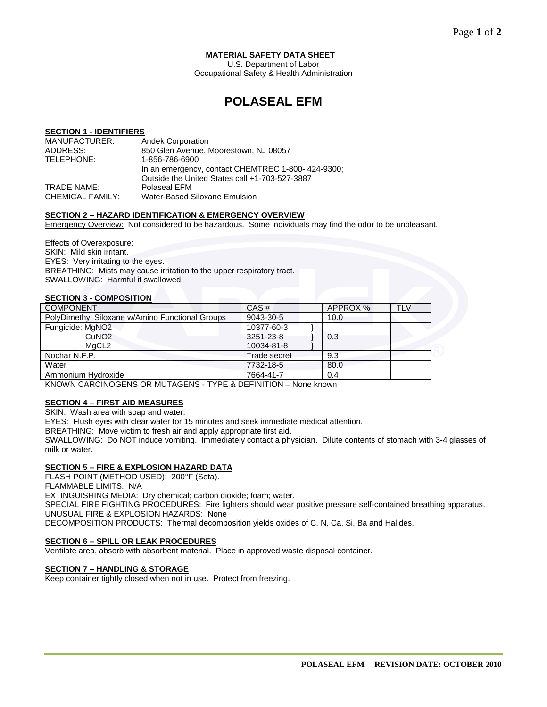# **MATERIAL SAFETY DATA SHEET**

U.S. Department of Labor Occupational Safety & Health Administration

# **POLASEAL EFM**

# **SECTION 1 - IDENTIFIERS**

| MANUFACTURER:    | <b>Andek Corporation</b>                          |
|------------------|---------------------------------------------------|
| ADDRESS:         | 850 Glen Avenue, Moorestown, NJ 08057             |
| TELEPHONE:       | 1-856-786-6900                                    |
|                  | In an emergency, contact CHEMTREC 1-800-424-9300; |
|                  | Outside the United States call +1-703-527-3887    |
| TRADE NAME:      | Polaseal EFM                                      |
| CHEMICAL FAMILY: | Water-Based Siloxane Emulsion                     |

### **SECTION 2 – HAZARD IDENTIFICATION & EMERGENCY OVERVIEW**

Emergency Overview: Not considered to be hazardous. Some individuals may find the odor to be unpleasant.

Effects of Overexposure: SKIN: Mild skin irritant. EYES: Very irritating to the eyes. BREATHING: Mists may cause irritation to the upper respiratory tract. SWALLOWING: Harmful if swallowed.

# **SECTION 3 - COMPOSITION**

| <b>COMPONENT</b>                                | CAS#         | APPROX % | <b>TLV</b> |
|-------------------------------------------------|--------------|----------|------------|
| PolyDimethyl Siloxane w/Amino Functional Groups | 9043-30-5    | 10.0     |            |
| Fungicide: MgNO2                                | 10377-60-3   |          |            |
| CuNO <sub>2</sub>                               | 3251-23-8    | 0.3      |            |
| MaCL <sub>2</sub>                               | 10034-81-8   |          |            |
| Nochar N.F.P.                                   | Trade secret | 9.3      |            |
| Water                                           | 7732-18-5    | 80.0     |            |
| Ammonium Hydroxide                              | 7664-41-7    | 0.4      |            |
|                                                 |              |          |            |

KNOWN CARCINOGENS OR MUTAGENS - TYPE & DEFINITION – None known

# **SECTION 4 – FIRST AID MEASURES**

SKIN: Wash area with soap and water.

EYES: Flush eyes with clear water for 15 minutes and seek immediate medical attention.

BREATHING: Move victim to fresh air and apply appropriate first aid.

SWALLOWING: Do NOT induce vomiting. Immediately contact a physician. Dilute contents of stomach with 3-4 glasses of milk or water.

# **SECTION 5 – FIRE & EXPLOSION HAZARD DATA**

FLASH POINT (METHOD USED): 200°F (Seta).

FLAMMABLE LIMITS: N/A

EXTINGUISHING MEDIA: Dry chemical; carbon dioxide; foam; water. SPECIAL FIRE FIGHTING PROCEDURES: Fire fighters should wear positive pressure self-contained breathing apparatus. UNUSUAL FIRE & EXPLOSION HAZARDS: None DECOMPOSITION PRODUCTS: Thermal decomposition yields oxides of C, N, Ca, Si, Ba and Halides.

### **SECTION 6 – SPILL OR LEAK PROCEDURES**

Ventilate area, absorb with absorbent material. Place in approved waste disposal container.

### **SECTION 7 – HANDLING & STORAGE**

Keep container tightly closed when not in use. Protect from freezing.